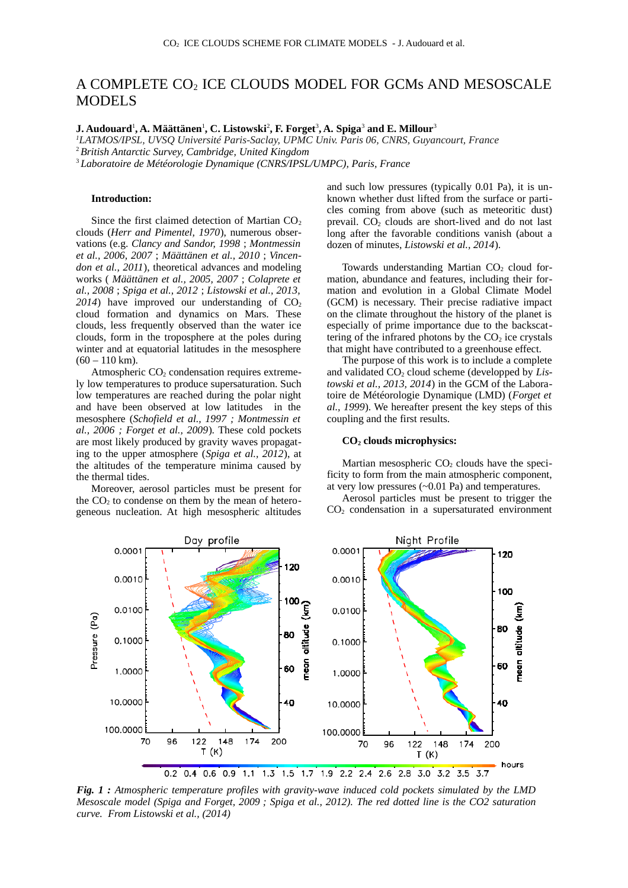# A COMPLETE CO<sub>2</sub> ICE CLOUDS MODEL FOR GCMs AND MESOSCALE MODELS

 $\,$ J. Audouard $^1$ , A. Määttänen $^1$ , C. Listowski $^2$ , F. Forget $^3$ , A. Spiga $^3$  and E. Millour $^3$ 

*<sup>1</sup>LATMOS/IPSL, UVSQ Université Paris-Saclay, UPMC Univ. Paris 06, CNRS, Guyancourt, France*

<sup>2</sup>*British Antarctic Survey, Cambridge, United Kingdom*

<sup>3</sup>*Laboratoire de Météorologie Dynamique (CNRS/IPSL/UMPC), Paris, France*

### **Introduction:**

Since the first claimed detection of Martian  $CO<sub>2</sub>$ clouds (*Herr and Pimentel, 1970*), numerous observations (e.g. *Clancy and Sandor, 1998* ; *Montmessin et al., 2006, 2007* ; *Määttänen et al., 2010* ; *Vincendon et al., 2011*), theoretical advances and modeling works ( *Määttänen et al., 2005, 2007* ; *Colaprete et al., 2008* ; *Spiga et al., 2012* ; *Listowski et al., 2013,*  $2014$ ) have improved our understanding of  $CO<sub>2</sub>$ cloud formation and dynamics on Mars. These clouds, less frequently observed than the water ice clouds, form in the troposphere at the poles during winter and at equatorial latitudes in the mesosphere  $(60 - 110 \text{ km})$ .

Atmospheric  $CO<sub>2</sub>$  condensation requires extremely low temperatures to produce supersaturation. Such low temperatures are reached during the polar night and have been observed at low latitudes in the mesosphere (*Schofield et al., 1997 ; Montmessin et al., 2006 ; Forget et al., 2009*). These cold pockets are most likely produced by gravity waves propagating to the upper atmosphere (*Spiga et al., 2012*), at the altitudes of the temperature minima caused by the thermal tides.

Moreover, aerosol particles must be present for the  $CO<sub>2</sub>$  to condense on them by the mean of heterogeneous nucleation. At high mesospheric altitudes

and such low pressures (typically 0.01 Pa), it is unknown whether dust lifted from the surface or particles coming from above (such as meteoritic dust) prevail.  $CO<sub>2</sub>$  clouds are short-lived and do not last long after the favorable conditions vanish (about a dozen of minutes, *Listowski et al., 2014*).

Towards understanding Martian  $CO<sub>2</sub>$  cloud formation, abundance and features, including their formation and evolution in a Global Climate Model (GCM) is necessary. Their precise radiative impact on the climate throughout the history of the planet is especially of prime importance due to the backscattering of the infrared photons by the  $CO<sub>2</sub>$  ice crystals that might have contributed to a greenhouse effect.

The purpose of this work is to include a complete and validated CO<sub>2</sub> cloud scheme (developped by Lis*towski et al., 2013, 2014*) in the GCM of the Laboratoire de Météorologie Dynamique (LMD) (*Forget et al., 1999*). We hereafter present the key steps of this coupling and the first results.

#### **CO2 clouds microphysics:**

Martian mesospheric  $CO<sub>2</sub>$  clouds have the specificity to form from the main atmospheric component, at very low pressures ( $\sim$ 0.01 Pa) and temperatures.

Aerosol particles must be present to trigger the  $CO<sub>2</sub>$  condensation in a supersaturated environment



*Fig. 1 : Atmospheric temperature profiles with gravity-wave induced cold pockets simulated by the LMD Mesoscale model (Spiga and Forget, 2009 ; Spiga et al., 2012). The red dotted line is the CO2 saturation curve. From Listowski et al., (2014)*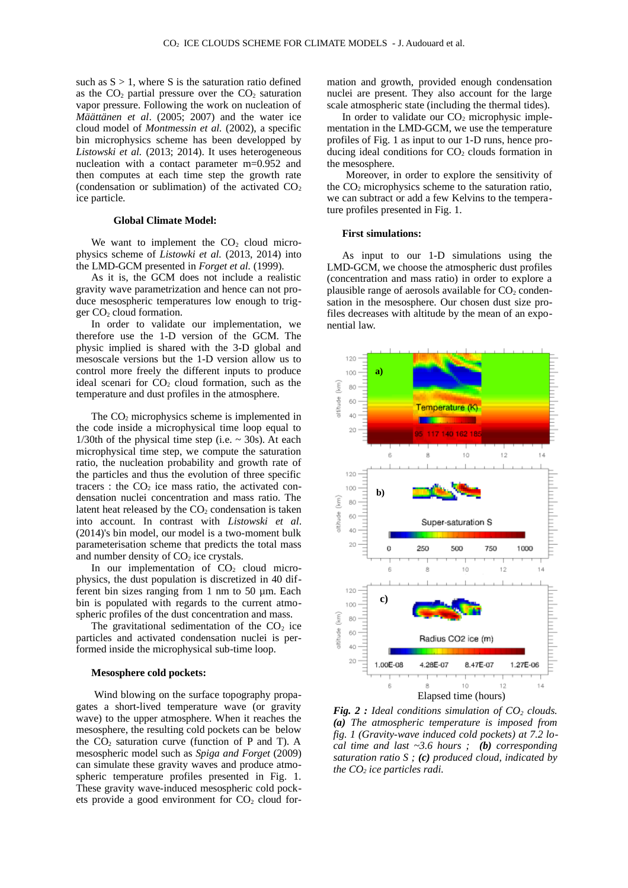such as  $S > 1$ , where S is the saturation ratio defined as the  $CO<sub>2</sub>$  partial pressure over the  $CO<sub>2</sub>$  saturation vapor pressure. Following the work on nucleation of *Määttänen et al*. (2005; 2007) and the water ice cloud model of *Montmessin et al.* (2002), a specific bin microphysics scheme has been developped by *Listowski et al.* (2013; 2014). It uses heterogeneous nucleation with a contact parameter m=0.952 and then computes at each time step the growth rate (condensation or sublimation) of the activated  $CO<sub>2</sub>$ ice particle.

## **Global Climate Model:**

We want to implement the  $CO<sub>2</sub>$  cloud microphysics scheme of *Listowki et al.* (2013, 2014) into the LMD-GCM presented in *Forget et al.* (1999).

As it is, the GCM does not include a realistic gravity wave parametrization and hence can not produce mesospheric temperatures low enough to trigger  $CO<sub>2</sub>$  cloud formation.

In order to validate our implementation, we therefore use the 1-D version of the GCM. The physic implied is shared with the 3-D global and mesoscale versions but the 1-D version allow us to control more freely the different inputs to produce ideal scenari for  $CO<sub>2</sub>$  cloud formation, such as the temperature and dust profiles in the atmosphere.

The CO<sub>2</sub> microphysics scheme is implemented in the code inside a microphysical time loop equal to 1/30th of the physical time step (i.e.  $\sim$  30s). At each microphysical time step, we compute the saturation ratio, the nucleation probability and growth rate of the particles and thus the evolution of three specific tracers : the  $CO<sub>2</sub>$  ice mass ratio, the activated condensation nuclei concentration and mass ratio. The latent heat released by the  $CO<sub>2</sub>$  condensation is taken into account. In contrast with *Listowski et al*. (2014)'s bin model, our model is a two-moment bulk parameterisation scheme that predicts the total mass and number density of  $CO<sub>2</sub>$  ice crystals.

In our implementation of  $CO<sub>2</sub>$  cloud microphysics, the dust population is discretized in 40 different bin sizes ranging from 1 nm to 50 µm. Each bin is populated with regards to the current atmospheric profiles of the dust concentration and mass.

The gravitational sedimentation of the  $CO<sub>2</sub>$  ice particles and activated condensation nuclei is performed inside the microphysical sub-time loop.

## **Mesosphere cold pockets:**

 Wind blowing on the surface topography propagates a short-lived temperature wave (or gravity wave) to the upper atmosphere. When it reaches the mesosphere, the resulting cold pockets can be below the  $CO<sub>2</sub>$  saturation curve (function of P and T). A mesospheric model such as *Spiga and Forget* (2009) can simulate these gravity waves and produce atmospheric temperature profiles presented in Fig. 1. These gravity wave-induced mesospheric cold pockets provide a good environment for  $CO<sub>2</sub>$  cloud formation and growth, provided enough condensation nuclei are present. They also account for the large scale atmospheric state (including the thermal tides).

In order to validate our  $CO<sub>2</sub>$  microphysic implementation in the LMD-GCM, we use the temperature profiles of Fig. 1 as input to our 1-D runs, hence producing ideal conditions for  $CO<sub>2</sub>$  clouds formation in the mesosphere.

 Moreover, in order to explore the sensitivity of the  $CO<sub>2</sub>$  microphysics scheme to the saturation ratio, we can subtract or add a few Kelvins to the temperature profiles presented in Fig. 1.

#### **First simulations:**

As input to our 1-D simulations using the LMD-GCM, we choose the atmospheric dust profiles (concentration and mass ratio) in order to explore a plausible range of aerosols available for  $CO<sub>2</sub>$  condensation in the mesosphere. Our chosen dust size profiles decreases with altitude by the mean of an exponential law.



*Fig. 2 : Ideal conditions simulation of CO2 clouds. (a) The atmospheric temperature is imposed from fig. 1 (Gravity-wave induced cold pockets) at 7.2 local time and last ~3.6 hours ; (b) corresponding saturation ratio S ; (c) produced cloud, indicated by the CO2 ice particles radi.*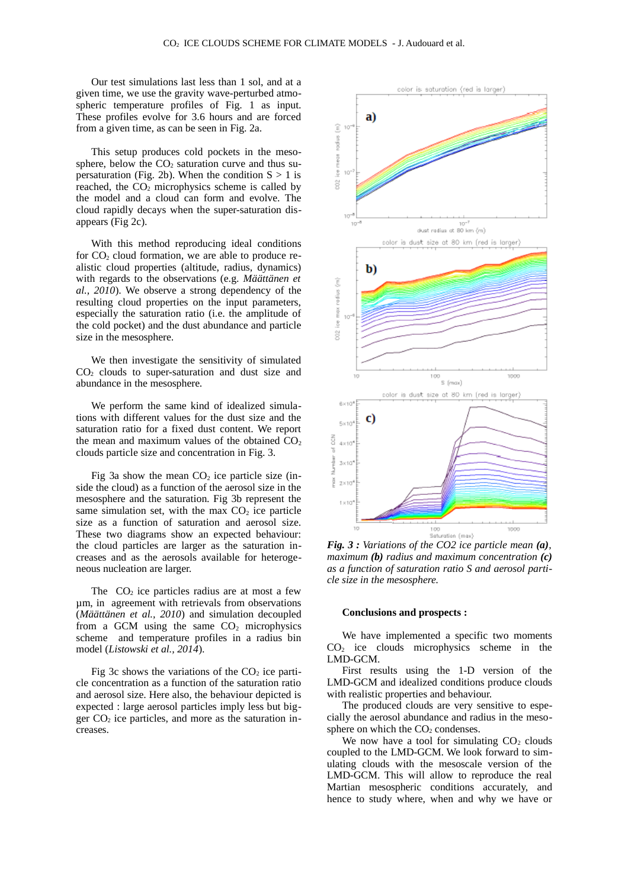Our test simulations last less than 1 sol, and at a given time, we use the gravity wave-perturbed atmospheric temperature profiles of Fig. 1 as input. These profiles evolve for 3.6 hours and are forced from a given time, as can be seen in Fig. 2a.

This setup produces cold pockets in the mesosphere, below the  $CO<sub>2</sub>$  saturation curve and thus supersaturation (Fig. 2b). When the condition  $S \geq 1$  is reached, the  $CO<sub>2</sub>$  microphysics scheme is called by the model and a cloud can form and evolve. The cloud rapidly decays when the super-saturation disappears (Fig 2c).

With this method reproducing ideal conditions for  $CO<sub>2</sub>$  cloud formation, we are able to produce realistic cloud properties (altitude, radius, dynamics) with regards to the observations (e.g. *Määttänen et al., 2010*). We observe a strong dependency of the resulting cloud properties on the input parameters, especially the saturation ratio (i.e. the amplitude of the cold pocket) and the dust abundance and particle size in the mesosphere.

We then investigate the sensitivity of simulated  $CO<sub>2</sub>$  clouds to super-saturation and dust size and abundance in the mesosphere.

We perform the same kind of idealized simulations with different values for the dust size and the saturation ratio for a fixed dust content. We report the mean and maximum values of the obtained  $CO<sub>2</sub>$ clouds particle size and concentration in Fig. 3.

Fig 3a show the mean  $CO<sub>2</sub>$  ice particle size (inside the cloud) as a function of the aerosol size in the mesosphere and the saturation. Fig 3b represent the same simulation set, with the max  $CO<sub>2</sub>$  ice particle size as a function of saturation and aerosol size. These two diagrams show an expected behaviour: the cloud particles are larger as the saturation increases and as the aerosols available for heterogeneous nucleation are larger.

The  $CO<sub>2</sub>$  ice particles radius are at most a few µm, in agreement with retrievals from observations (*Määttänen et al., 2010*) and simulation decoupled from a GCM using the same  $CO<sub>2</sub>$  microphysics scheme and temperature profiles in a radius bin model (*Listowski et al., 2014*).

Fig 3c shows the variations of the  $CO<sub>2</sub>$  ice particle concentration as a function of the saturation ratio and aerosol size. Here also, the behaviour depicted is expected : large aerosol particles imply less but bigger  $CO<sub>2</sub>$  ice particles, and more as the saturation increases.



*Fig. 3 : Variations of the CO2 ice particle mean (a), maximum (b) radius and maximum concentration (c) as a function of saturation ratio S and aerosol particle size in the mesosphere.*

#### **Conclusions and prospects :**

We have implemented a specific two moments CO2 ice clouds microphysics scheme in the LMD-GCM.

First results using the 1-D version of the LMD-GCM and idealized conditions produce clouds with realistic properties and behaviour.

The produced clouds are very sensitive to especially the aerosol abundance and radius in the mesosphere on which the  $CO<sub>2</sub>$  condenses.

We now have a tool for simulating  $CO<sub>2</sub>$  clouds coupled to the LMD-GCM. We look forward to simulating clouds with the mesoscale version of the LMD-GCM. This will allow to reproduce the real Martian mesospheric conditions accurately, and hence to study where, when and why we have or